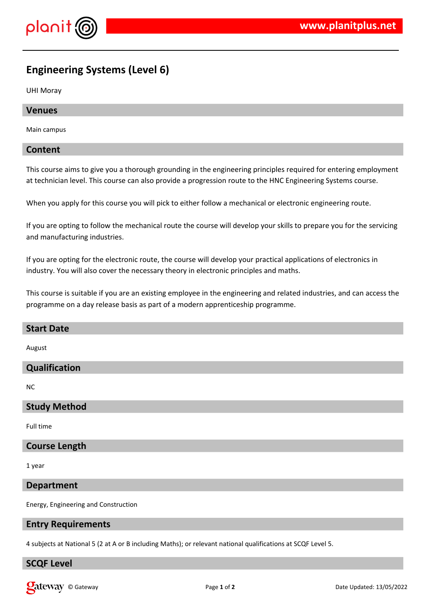

# **Engineering Systems (Level 6)**

UHI Moray

### **Venues**

Main campus

### **Content**

This course aims to give you a thorough grounding in the engineering principles required for entering employment at technician level. This course can also provide a progression route to the HNC Engineering Systems course.

When you apply for this course you will pick to either follow a mechanical or electronic engineering route.

If you are opting to follow the mechanical route the course will develop your skills to prepare you for the servicing and manufacturing industries.

If you are opting for the electronic route, the course will develop your practical applications of electronics in industry. You will also cover the necessary theory in electronic principles and maths.

This course is suitable if you are an existing employee in the engineering and related industries, and can access the programme on a day release basis as part of a modern apprenticeship programme.

| <b>Start Date</b>    |
|----------------------|
| August               |
| Qualification        |
| <b>NC</b>            |
| <b>Study Method</b>  |
| Full time            |
| <b>Course Length</b> |

1 year

### **Department**

Energy, Engineering and Construction

#### **Entry Requirements**

4 subjects at National 5 (2 at A or B including Maths); or relevant national qualifications at SCQF Level 5.

# **SCQF Level**